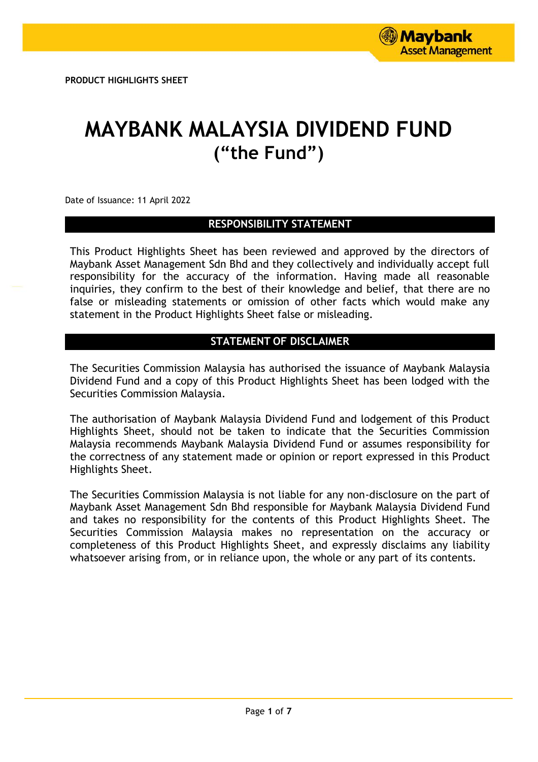# **MAYBANK MALAYSIA DIVIDEND FUND ("the Fund")**

Date of Issuance: 11 April 2022

# **RESPONSIBILITY STATEMENT**

This Product Highlights Sheet has been reviewed and approved by the directors of Maybank Asset Management Sdn Bhd and they collectively and individually accept full responsibility for the accuracy of the information. Having made all reasonable inquiries, they confirm to the best of their knowledge and belief, that there are no false or misleading statements or omission of other facts which would make any statement in the Product Highlights Sheet false or misleading.

# **STATEMENT OF DISCLAIMER**

The Securities Commission Malaysia has authorised the issuance of Maybank Malaysia Dividend Fund and a copy of this Product Highlights Sheet has been lodged with the Securities Commission Malaysia.

The authorisation of Maybank Malaysia Dividend Fund and lodgement of this Product Highlights Sheet, should not be taken to indicate that the Securities Commission Malaysia recommends Maybank Malaysia Dividend Fund or assumes responsibility for the correctness of any statement made or opinion or report expressed in this Product Highlights Sheet.

The Securities Commission Malaysia is not liable for any non-disclosure on the part of Maybank Asset Management Sdn Bhd responsible for Maybank Malaysia Dividend Fund and takes no responsibility for the contents of this Product Highlights Sheet. The Securities Commission Malaysia makes no representation on the accuracy or completeness of this Product Highlights Sheet, and expressly disclaims any liability whatsoever arising from, or in reliance upon, the whole or any part of its contents.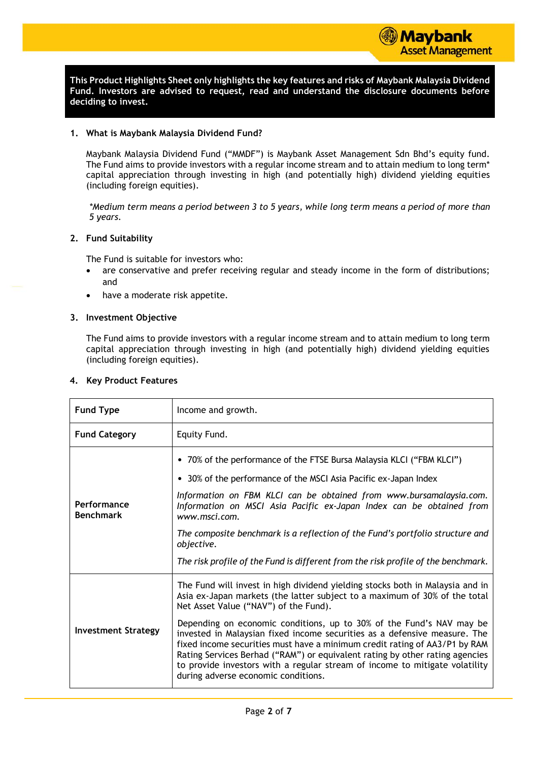

**This Product Highlights Sheet only highlights the key features and risks of Maybank Malaysia Dividend Fund. Investors are advised to request, read and understand the disclosure documents before deciding to invest.**

#### **1. What is Maybank Malaysia Dividend Fund?**

Maybank Malaysia Dividend Fund ("MMDF") is Maybank Asset Management Sdn Bhd's equity fund. The Fund aims to provide investors with a regular income stream and to attain medium to long term\* capital appreciation through investing in high (and potentially high) dividend yielding equities (including foreign equities).

*\*Medium term means a period between 3 to 5 years, while long term means a period of more than 5 years.*

### **2. Fund Suitability**

The Fund is suitable for investors who:

- are conservative and prefer receiving regular and steady income in the form of distributions; and
- have a moderate risk appetite.

#### **3. Investment Objective**

The Fund aims to provide investors with a regular income stream and to attain medium to long term capital appreciation through investing in high (and potentially high) dividend yielding equities (including foreign equities).

#### **4. Key Product Features**

| <b>Fund Type</b>                | Income and growth.                                                                                                                                                                                                                                                                                                                                                                                                                                                                                                                                                                                                                            |
|---------------------------------|-----------------------------------------------------------------------------------------------------------------------------------------------------------------------------------------------------------------------------------------------------------------------------------------------------------------------------------------------------------------------------------------------------------------------------------------------------------------------------------------------------------------------------------------------------------------------------------------------------------------------------------------------|
| <b>Fund Category</b>            | Equity Fund.                                                                                                                                                                                                                                                                                                                                                                                                                                                                                                                                                                                                                                  |
| Performance<br><b>Benchmark</b> | • 70% of the performance of the FTSE Bursa Malaysia KLCI ("FBM KLCI")<br>• 30% of the performance of the MSCI Asia Pacific ex-Japan Index<br>Information on FBM KLCI can be obtained from www.bursamalaysia.com.<br>Information on MSCI Asia Pacific ex-Japan Index can be obtained from<br>www.msci.com.<br>The composite benchmark is a reflection of the Fund's portfolio structure and<br>objective.<br>The risk profile of the Fund is different from the risk profile of the benchmark.                                                                                                                                                 |
| <b>Investment Strategy</b>      | The Fund will invest in high dividend yielding stocks both in Malaysia and in<br>Asia ex-Japan markets (the latter subject to a maximum of 30% of the total<br>Net Asset Value ("NAV") of the Fund).<br>Depending on economic conditions, up to 30% of the Fund's NAV may be<br>invested in Malaysian fixed income securities as a defensive measure. The<br>fixed income securities must have a minimum credit rating of AA3/P1 by RAM<br>Rating Services Berhad ("RAM") or equivalent rating by other rating agencies<br>to provide investors with a regular stream of income to mitigate volatility<br>during adverse economic conditions. |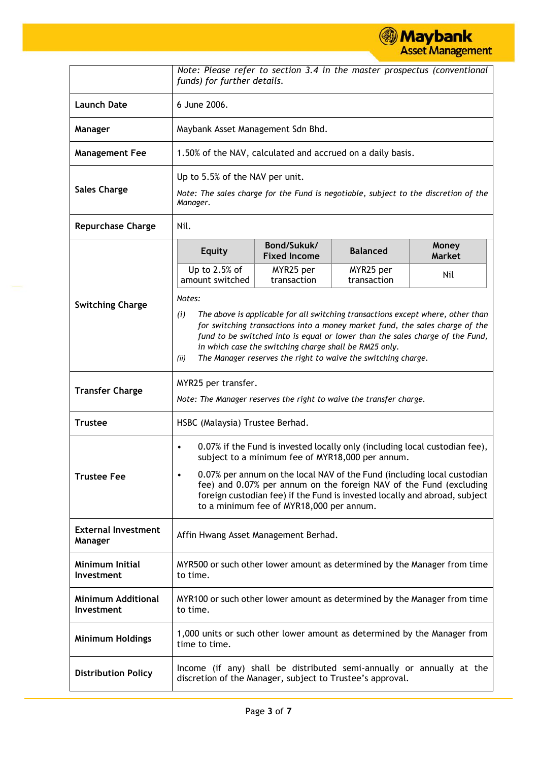**Maybank**<br>Asset Management

|                                         | funds) for further details.                                                                                                                                                                                                                                                                                                                                                                                                          |                                                                                                                        |                                                                          | Note: Please refer to section 3.4 in the master prospectus (conventional |  |  |  |  |
|-----------------------------------------|--------------------------------------------------------------------------------------------------------------------------------------------------------------------------------------------------------------------------------------------------------------------------------------------------------------------------------------------------------------------------------------------------------------------------------------|------------------------------------------------------------------------------------------------------------------------|--------------------------------------------------------------------------|--------------------------------------------------------------------------|--|--|--|--|
| <b>Launch Date</b>                      | 6 June 2006.                                                                                                                                                                                                                                                                                                                                                                                                                         |                                                                                                                        |                                                                          |                                                                          |  |  |  |  |
| Manager                                 | Maybank Asset Management Sdn Bhd.                                                                                                                                                                                                                                                                                                                                                                                                    |                                                                                                                        |                                                                          |                                                                          |  |  |  |  |
| <b>Management Fee</b>                   |                                                                                                                                                                                                                                                                                                                                                                                                                                      |                                                                                                                        | 1.50% of the NAV, calculated and accrued on a daily basis.               |                                                                          |  |  |  |  |
| <b>Sales Charge</b>                     | Manager.                                                                                                                                                                                                                                                                                                                                                                                                                             | Up to 5.5% of the NAV per unit.<br>Note: The sales charge for the Fund is negotiable, subject to the discretion of the |                                                                          |                                                                          |  |  |  |  |
| <b>Repurchase Charge</b>                | Nil.                                                                                                                                                                                                                                                                                                                                                                                                                                 |                                                                                                                        |                                                                          |                                                                          |  |  |  |  |
|                                         | <b>Equity</b>                                                                                                                                                                                                                                                                                                                                                                                                                        | Bond/Sukuk/<br><b>Fixed Income</b>                                                                                     | <b>Balanced</b>                                                          | Money<br><b>Market</b>                                                   |  |  |  |  |
|                                         | Up to $2.5%$ of<br>amount switched                                                                                                                                                                                                                                                                                                                                                                                                   | MYR25 per<br>transaction                                                                                               | MYR25 per<br>transaction                                                 | Nil                                                                      |  |  |  |  |
| <b>Switching Charge</b>                 | Notes:<br>The above is applicable for all switching transactions except where, other than<br>(i)<br>for switching transactions into a money market fund, the sales charge of the<br>fund to be switched into is equal or lower than the sales charge of the Fund,<br>in which case the switching charge shall be RM25 only.<br>The Manager reserves the right to waive the switching charge.<br>(ii)                                 |                                                                                                                        |                                                                          |                                                                          |  |  |  |  |
| <b>Transfer Charge</b>                  | MYR25 per transfer.<br>Note: The Manager reserves the right to waive the transfer charge.                                                                                                                                                                                                                                                                                                                                            |                                                                                                                        |                                                                          |                                                                          |  |  |  |  |
| <b>Trustee</b>                          | HSBC (Malaysia) Trustee Berhad.                                                                                                                                                                                                                                                                                                                                                                                                      |                                                                                                                        |                                                                          |                                                                          |  |  |  |  |
| <b>Trustee Fee</b>                      | 0.07% if the Fund is invested locally only (including local custodian fee),<br>$\bullet$<br>subject to a minimum fee of MYR18,000 per annum.<br>0.07% per annum on the local NAV of the Fund (including local custodian<br>$\bullet$<br>fee) and 0.07% per annum on the foreign NAV of the Fund (excluding<br>foreign custodian fee) if the Fund is invested locally and abroad, subject<br>to a minimum fee of MYR18,000 per annum. |                                                                                                                        |                                                                          |                                                                          |  |  |  |  |
| <b>External Investment</b><br>Manager   | Affin Hwang Asset Management Berhad.                                                                                                                                                                                                                                                                                                                                                                                                 |                                                                                                                        |                                                                          |                                                                          |  |  |  |  |
| Minimum Initial<br>Investment           | MYR500 or such other lower amount as determined by the Manager from time<br>to time.                                                                                                                                                                                                                                                                                                                                                 |                                                                                                                        |                                                                          |                                                                          |  |  |  |  |
| <b>Minimum Additional</b><br>Investment | MYR100 or such other lower amount as determined by the Manager from time<br>to time.                                                                                                                                                                                                                                                                                                                                                 |                                                                                                                        |                                                                          |                                                                          |  |  |  |  |
| <b>Minimum Holdings</b>                 | time to time.                                                                                                                                                                                                                                                                                                                                                                                                                        |                                                                                                                        | 1,000 units or such other lower amount as determined by the Manager from |                                                                          |  |  |  |  |
| <b>Distribution Policy</b>              | discretion of the Manager, subject to Trustee's approval.                                                                                                                                                                                                                                                                                                                                                                            |                                                                                                                        |                                                                          | Income (if any) shall be distributed semi-annually or annually at the    |  |  |  |  |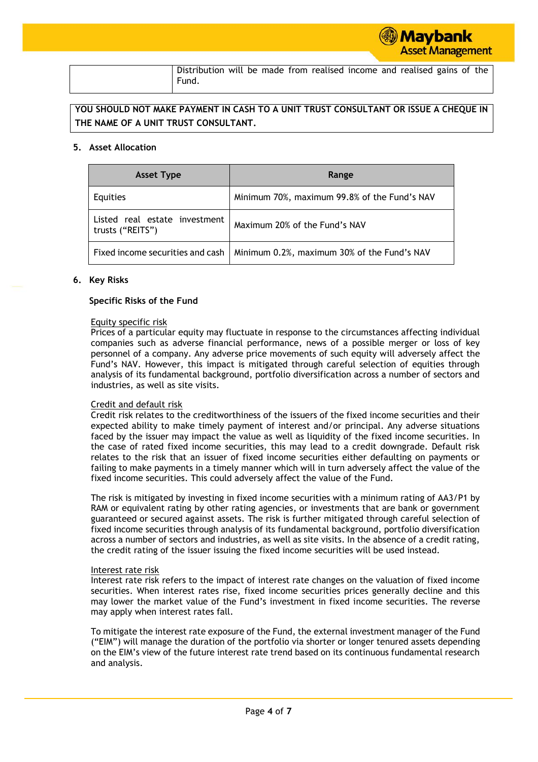| Distribution will be made from realised income and realised gains of the |  |  |  |  |  |  |
|--------------------------------------------------------------------------|--|--|--|--|--|--|
| Fund.                                                                    |  |  |  |  |  |  |

# **YOU SHOULD NOT MAKE PAYMENT IN CASH TO A UNIT TRUST CONSULTANT OR ISSUE A CHEQUE IN THE NAME OF A UNIT TRUST CONSULTANT.**

#### **5. Asset Allocation**

| <b>Asset Type</b>                                 | Range                                        |
|---------------------------------------------------|----------------------------------------------|
| Equities                                          | Minimum 70%, maximum 99.8% of the Fund's NAV |
| Listed real estate investment<br>trusts ("REITS") | Maximum 20% of the Fund's NAV                |
| Fixed income securities and cash                  | Minimum 0.2%, maximum 30% of the Fund's NAV  |

### **6. Key Risks**

### **Specific Risks of the Fund**

### Equity specific risk

Prices of a particular equity may fluctuate in response to the circumstances affecting individual companies such as adverse financial performance, news of a possible merger or loss of key personnel of a company. Any adverse price movements of such equity will adversely affect the Fund's NAV. However, this impact is mitigated through careful selection of equities through analysis of its fundamental background, portfolio diversification across a number of sectors and industries, as well as site visits.

# Credit and default risk

Credit risk relates to the creditworthiness of the issuers of the fixed income securities and their expected ability to make timely payment of interest and/or principal. Any adverse situations faced by the issuer may impact the value as well as liquidity of the fixed income securities. In the case of rated fixed income securities, this may lead to a credit downgrade. Default risk relates to the risk that an issuer of fixed income securities either defaulting on payments or failing to make payments in a timely manner which will in turn adversely affect the value of the fixed income securities. This could adversely affect the value of the Fund.

The risk is mitigated by investing in fixed income securities with a minimum rating of AA3/P1 by RAM or equivalent rating by other rating agencies, or investments that are bank or government guaranteed or secured against assets. The risk is further mitigated through careful selection of fixed income securities through analysis of its fundamental background, portfolio diversification across a number of sectors and industries, as well as site visits. In the absence of a credit rating, the credit rating of the issuer issuing the fixed income securities will be used instead.

#### Interest rate risk

Interest rate risk refers to the impact of interest rate changes on the valuation of fixed income securities. When interest rates rise, fixed income securities prices generally decline and this may lower the market value of the Fund's investment in fixed income securities. The reverse may apply when interest rates fall.

To mitigate the interest rate exposure of the Fund, the external investment manager of the Fund ("EIM") will manage the duration of the portfolio via shorter or longer tenured assets depending on the EIM's view of the future interest rate trend based on its continuous fundamental research and analysis.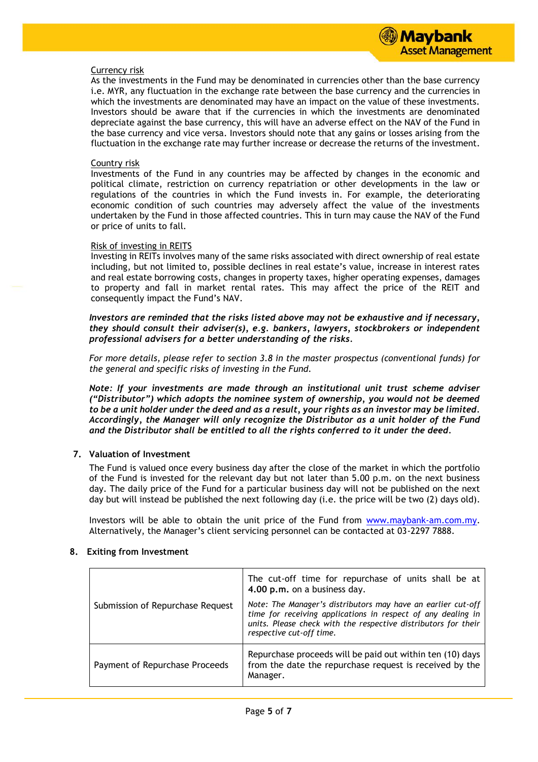#### Currency risk

As the investments in the Fund may be denominated in currencies other than the base currency i.e. MYR, any fluctuation in the exchange rate between the base currency and the currencies in which the investments are denominated may have an impact on the value of these investments. Investors should be aware that if the currencies in which the investments are denominated depreciate against the base currency, this will have an adverse effect on the NAV of the Fund in the base currency and vice versa. Investors should note that any gains or losses arising from the fluctuation in the exchange rate may further increase or decrease the returns of the investment.

#### Country risk

Investments of the Fund in any countries may be affected by changes in the economic and political climate, restriction on currency repatriation or other developments in the law or regulations of the countries in which the Fund invests in. For example, the deteriorating economic condition of such countries may adversely affect the value of the investments undertaken by the Fund in those affected countries. This in turn may cause the NAV of the Fund or price of units to fall.

#### Risk of investing in REITS

Investing in REITs involves many of the same risks associated with direct ownership of real estate including, but not limited to, possible declines in real estate's value, increase in interest rates and real estate borrowing costs, changes in property taxes, higher operating expenses, damages to property and fall in market rental rates. This may affect the price of the REIT and consequently impact the Fund's NAV.

*Investors are reminded that the risks listed above may not be exhaustive and if necessary, they should consult their adviser(s), e.g. bankers, lawyers, stockbrokers or independent professional advisers for a better understanding of the risks.*

*For more details, please refer to section 3.8 in the master prospectus (conventional funds) for the general and specific risks of investing in the Fund.*

*Note: If your investments are made through an institutional unit trust scheme adviser ("Distributor") which adopts the nominee system of ownership, you would not be deemed to be a unit holder under the deed and as a result, your rights as an investor may be limited. Accordingly, the Manager will only recognize the Distributor as a unit holder of the Fund and the Distributor shall be entitled to all the rights conferred to it under the deed.*

# **7. Valuation of Investment**

The Fund is valued once every business day after the close of the market in which the portfolio of the Fund is invested for the relevant day but not later than 5.00 p.m. on the next business day. The daily price of the Fund for a particular business day will not be published on the next day but will instead be published the next following day (i.e. the price will be two (2) days old).

Investors will be able to obtain the unit price of the Fund from [www.maybank-am.com.](http://www.maybank-am.com/)my. Alternatively, the Manager's client servicing personnel can be contacted at 03-2297 7888.

|                                  | The cut-off time for repurchase of units shall be at<br>4.00 p.m. on a business day.                                                                                                                                       |
|----------------------------------|----------------------------------------------------------------------------------------------------------------------------------------------------------------------------------------------------------------------------|
| Submission of Repurchase Request | Note: The Manager's distributors may have an earlier cut-off<br>time for receiving applications in respect of any dealing in<br>units. Please check with the respective distributors for their<br>respective cut-off time. |
| Payment of Repurchase Proceeds   | Repurchase proceeds will be paid out within ten (10) days<br>from the date the repurchase request is received by the<br>Manager.                                                                                           |

# **8. Exiting from Investment**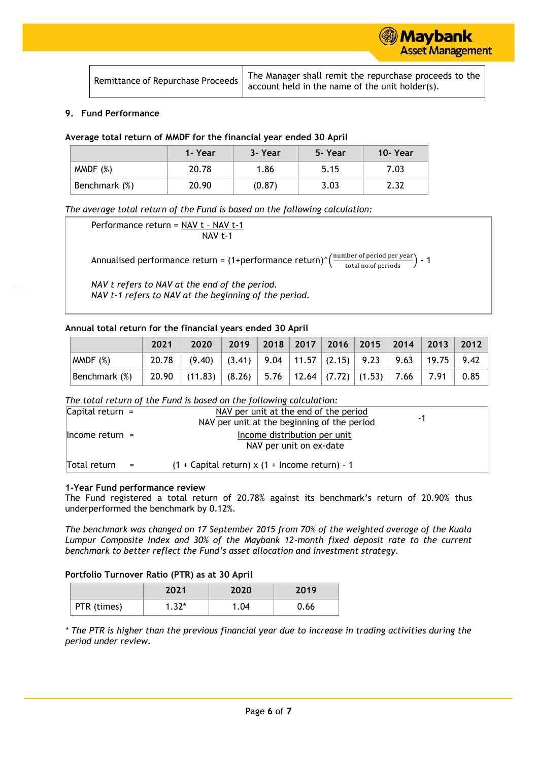Maybank **Asset Management** 

### **9. Fund Performance**

|  |  |  |  | Average total return of MMDF for the financial year ended 30 April |  |
|--|--|--|--|--------------------------------------------------------------------|--|
|--|--|--|--|--------------------------------------------------------------------|--|

|               | 1- Year | 3- Year | 5- Year | 10-Year |
|---------------|---------|---------|---------|---------|
| MMDF(%)       | 20.78   | 1.86    | 5.15    | 7.03    |
| Benchmark (%) | 20.90   | (0.87)  | 3.03    | 2.32    |

*The average total return of the Fund is based on the following calculation:*

Performance return = NAV t – NAV t-1 NAV t-1

Annualised performance return = (1+performance return)^ $\left(\frac{\text{number of period per year}}{\text{total no. of periods}}\right)$  - 1

*NAV t refers to NAV at the end of the period. NAV t-1 refers to NAV at the beginning of the period.*

#### **Annual total return for the financial years ended 30 April**

|               | 2021 | 2020                                                                                           |  |  |  | 2019 2018 2017 2016 2015 2014 2013 2012 |  |
|---------------|------|------------------------------------------------------------------------------------------------|--|--|--|-----------------------------------------|--|
| $M$ MDF $(%)$ |      | 20.78   $(9.40)$   $(3.41)$   $9.04$   $11.57$   $(2.15)$   $9.23$   $9.63$   $19.75$   $9.42$ |  |  |  |                                         |  |
| Benchmark (%) |      | 20.90 $(11.83)$ $(8.26)$ $5.76$ $12.64$ $(7.72)$ $(1.53)$ $7.66$ $7.91$ $0.85$                 |  |  |  |                                         |  |

## *The total return of the Fund is based on the following calculation:*

| Capital return $=$  | NAV per unit at the end of the period<br>NAV per unit at the beginning of the period | -1 |  |
|---------------------|--------------------------------------------------------------------------------------|----|--|
| $ $ Income return = | Income distribution per unit<br>NAV per unit on ex-date                              |    |  |
| Total return        | $(1 + Capital return)$ x $(1 + Income return) - 1$                                   |    |  |

#### **1-Year Fund performance review**

The Fund registered a total return of 20.78% against its benchmark's return of 20.90% thus underperformed the benchmark by 0.12%.

*The benchmark was changed on 17 September 2015 from 70% of the weighted average of the Kuala Lumpur Composite Index and 30% of the Maybank 12-month fixed deposit rate to the current benchmark to better reflect the Fund's asset allocation and investment strategy.*

# **Portfolio Turnover Ratio (PTR) as at 30 April**

|             | 2021    | 2020 | 2019 |
|-------------|---------|------|------|
| PTR (times) | $1.32*$ | 1.04 | 0.66 |

*\* The PTR is higher than the previous financial year due to increase in trading activities during the period under review.*